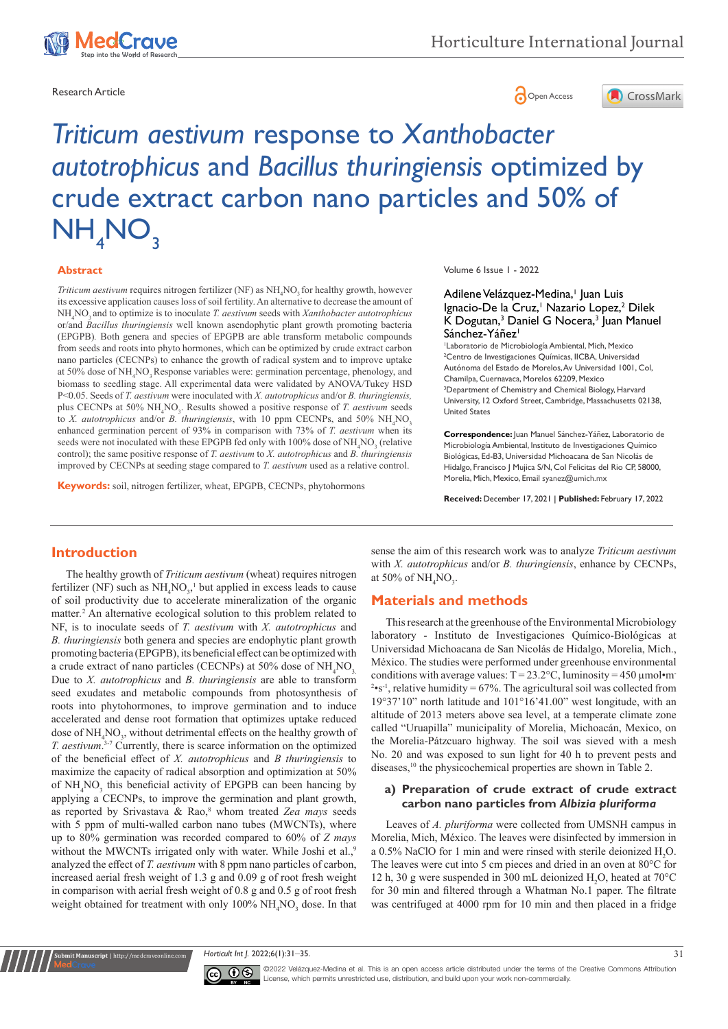

Research Article **Contracts and Contracts and Contracts and Contracts and Contracts and Contracts and Copen Access** 



# *Triticum aestivum* response to *Xanthobacter autotrophicus* and *Bacillus thuringiensis* optimized by crude extract carbon nano particles and 50% of  $NH<sub>4</sub>NO<sub>3</sub>$

#### **Abstract**

*Triticum aestivum* requires nitrogen fertilizer (NF) as  $NH_4NO_3$  for healthy growth, however its excessive application causes loss of soil fertility. An alternative to decrease the amount of NH4 NO3 and to optimize is to inoculate *T. aestivum* seeds with *Xanthobacter autotrophicus*  or/and *Bacillus thuringiensis* well known asendophytic plant growth promoting bacteria (EPGPB)*.* Both genera and species of EPGPB are able transform metabolic compounds from seeds and roots into phyto hormones, which can be optimized by crude extract carbon nano particles (CECNPs) to enhance the growth of radical system and to improve uptake at 50% dose of NH<sub>4</sub>NO<sub>3</sub> Response variables were: germination percentage, phenology, and biomass to seedling stage. All experimental data were validated by ANOVA/Tukey HSD P<0.05. Seeds of *T. aestivum* were inoculated with *X. autotrophicus* and/or *B. thuringiensis,* plus CECNPs at 50% NH<sub>4</sub>NO<sub>3</sub>. Results showed a positive response of *T. aestivum* seeds to *X. autotrophicus* and/or *B. thuringiensis*, with 10 ppm CECNPs, and 50%  $NH_{4}NO_{3}$ enhanced germination percent of 93% in comparison with 73% of *T. aestivum* when its seeds were not inoculated with these EPGPB fed only with 100% dose of  $\mathrm{NH}_4\mathrm{NO}_3$  (relative control); the same positive response of *T. aestivum* to *X. autotrophicus* and *B. thuringiensis*  improved by CECNPs at seeding stage compared to *T. aestivum* used as a relative control.

**Keywords:** soil, nitrogen fertilizer, wheat, EPGPB, CECNPs, phytohormons

Volume 6 Issue 1 - 2022

#### Adilene Velázquez-Medina,<sup>1</sup> Juan Luis Ignacio-De la Cruz,<sup>1</sup> Nazario Lopez,<sup>2</sup> Dilek K Dogutan,<sup>3</sup> Daniel G Nocera,<sup>3</sup> Juan Manuel Sánchez-Yáñez<sup>1</sup>

1 Laboratorio de Microbiología Ambiental, Mich, Mexico 2 Centro de Investigaciones Químicas, IICBA, Universidad Autónoma del Estado de Morelos, Av Universidad 1001, Col, Chamilpa, Cuernavaca, Morelos 62209, Mexico <sup>3</sup>Department of Chemistry and Chemical Biology, Harvard University, 12 Oxford Street, Cambridge, Massachusetts 02138, United States

**Correspondence:** Juan Manuel Sánchez-Yáñez, Laboratorio de Microbiología Ambiental, Instituto de Investigaciones Químico Biológicas, Ed-B3, Universidad Michoacana de San Nicolás de Hidalgo, Francisco J Mujica S/N, Col Felicitas del Rio CP, 58000, Morelia, Mich, Mexico, Email syanez@umich.mx

**Received:** December 17, 2021 | **Published:** February 17, 2022

### **Introduction**

The healthy growth of *Triticum aestivum* (wheat) requires nitrogen fertilizer (NF) such as  $NH<sub>4</sub>NO<sub>3</sub>$ <sup>1</sup> but applied in excess leads to cause of soil productivity due to accelerate mineralization of the organic matter*.* 2 An alternative ecological solution to this problem related to NF, is to inoculate seeds of *T. aestivum* with *X. autotrophicus* and *B. thuringiensis* both genera and species are endophytic plant growth promoting bacteria (EPGPB), its beneficial effect can be optimized with a crude extract of nano particles (CECNPs) at 50% dose of  $NH<sub>4</sub>NO<sub>3</sub>$ Due to *X. autotrophicus* and *B. thuringiensis* are able to transform seed exudates and metabolic compounds from photosynthesis of roots into phytohormones, to improve germination and to induce accelerated and dense root formation that optimizes uptake reduced dose of  $NH<sub>4</sub>NO<sub>3</sub>$ , without detrimental effects on the healthy growth of *T. aestivum*. 3-7 Currently, there is scarce information on the optimized of the beneficial effect of *X. autotrophicus* and *B thuringiensis* to maximize the capacity of radical absorption and optimization at 50% of  $NH<sub>4</sub>NO<sub>3</sub>$  this beneficial activity of EPGPB can been hancing by applying a CECNPs, to improve the germination and plant growth, as reported by Srivastava & Rao,<sup>8</sup> whom treated Zea mays seeds with 5 ppm of multi-walled carbon nano tubes (MWCNTs), where up to 80% germination was recorded compared to 60% of *Z mays* without the MWCNTs irrigated only with water. While Joshi et al.,<sup>9</sup> analyzed the effect of *T. aestivum* with 8 ppm nano particles of carbon, increased aerial fresh weight of 1.3 g and 0.09 g of root fresh weight in comparison with aerial fresh weight of 0.8 g and 0.5 g of root fresh weight obtained for treatment with only  $100\% \text{ NH}_4\text{NO}_3$  dose. In that sense the aim of this research work was to analyze *Triticum aestivum*  with *X. autotrophicus* and/or *B. thuringiensis*, enhance by CECNPs, at 50% of  $\text{NH}_4\text{NO}_3$ .

### **Materials and methods**

This research at the greenhouse of the Environmental Microbiology laboratory - Instituto de Investigaciones Químico-Biológicas at Universidad Michoacana de San Nicolás de Hidalgo, Morelia, Mich., México. The studies were performed under greenhouse environmental conditions with average values:  $T = 23.2$ °C, luminosity = 450 µmol•m<sup>-</sup>  $2 \cdot s^{-1}$ , relative humidity = 67%. The agricultural soil was collected from 19°37'10" north latitude and 101°16'41.00" west longitude, with an altitude of 2013 meters above sea level, at a temperate climate zone called "Uruapilla" municipality of Morelia, Michoacán, Mexico, on the Morelia-Pátzcuaro highway. The soil was sieved with a mesh No. 20 and was exposed to sun light for 40 h to prevent pests and diseases,<sup>10</sup> the physicochemical properties are shown in Table 2.

#### **a) Preparation of crude extract of crude extract carbon nano particles from** *Albizia pluriforma*

Leaves of *A. pluriforma* were collected from UMSNH campus in Morelia, Mich, México. The leaves were disinfected by immersion in a 0.5% NaClO for 1 min and were rinsed with sterile deionized  $H_2O$ . The leaves were cut into 5 cm pieces and dried in an oven at 80°C for 12 h, 30 g were suspended in 300 mL deionized  $H_2O$ , heated at 70°C for 30 min and filtered through a Whatman No.1 paper. The filtrate was centrifuged at 4000 rpm for 10 min and then placed in a fridge

*Horticult Int J.* 2022;6(1):31‒35. 31



**nit Manuscript** | http://medcraveonline.c

 $\overline{\text{cc}}$   $\overline{\text{C}}$   $\overline{\text{C}}$   $\overline{\text{C}}$   $\overline{\text{C}}$   $\overline{\text{C}}$   $\overline{\text{C}}$   $\overline{\text{C}}$   $\overline{\text{C}}$   $\overline{\text{C}}$   $\overline{\text{C}}$   $\overline{\text{C}}$   $\overline{\text{C}}$   $\overline{\text{C}}$   $\overline{\text{C}}$   $\overline{\text{C}}$   $\overline{\text{C}}$   $\overline{\text{C}}$   $\overline{\text{C}}$   $\overline{\text{C}}$   $\$ [License](https://creativecommons.org/licenses/by-nc/4.0/), which permits unrestricted use, distribution, and build upon your work non-commercially.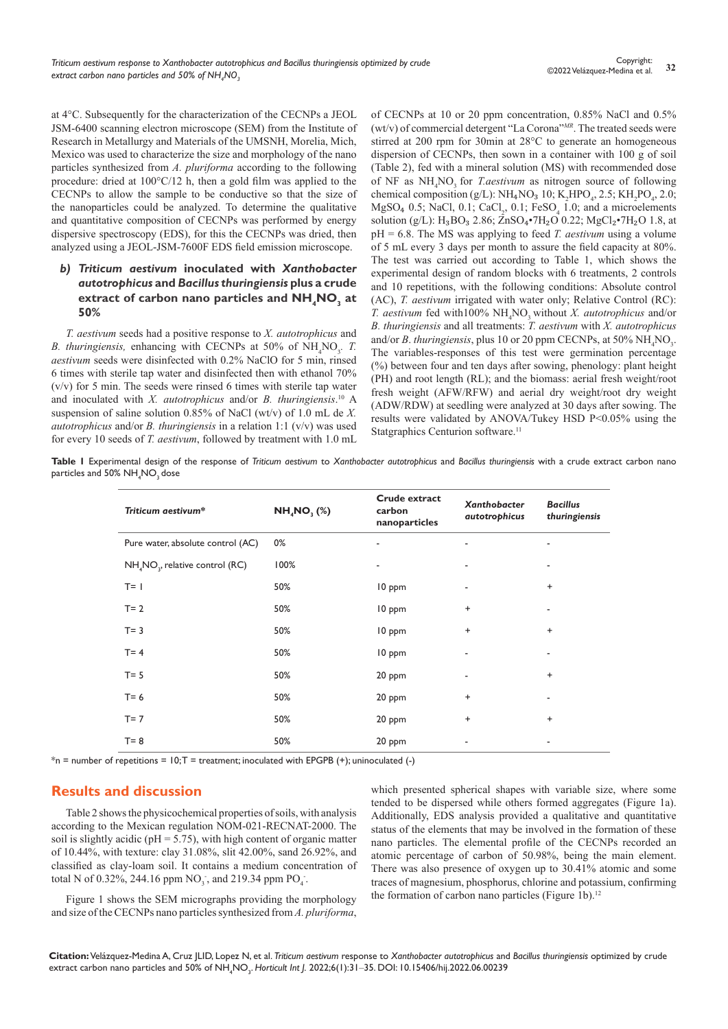at 4°C. Subsequently for the characterization of the CECNPs a JEOL JSM-6400 scanning electron microscope (SEM) from the Institute of Research in Metallurgy and Materials of the UMSNH, Morelia, Mich, Mexico was used to characterize the size and morphology of the nano particles synthesized from *A. pluriforma* according to the following procedure: dried at 100°C/12 h, then a gold film was applied to the CECNPs to allow the sample to be conductive so that the size of the nanoparticles could be analyzed. To determine the qualitative and quantitative composition of CECNPs was performed by energy dispersive spectroscopy (EDS), for this the CECNPs was dried, then analyzed using a JEOL-JSM-7600F EDS field emission microscope.

## *b) Triticum aestivum* **inoculated with** *Xanthobacter autotrophicus* **and** *Bacillus thuringiensis* **plus a crude**  extract of carbon nano particles and  $\textsf{NH}_{\,4}\textsf{NO}_{\overline{3}}$  at **50%**

*T. aestivum* seeds had a positive response to *X. autotrophicus* and *B. thuringiensis,* enhancing with CECNPs at 50% of NH<sub>4</sub>NO<sub>3</sub>. *T. aestivum* seeds were disinfected with 0.2% NaClO for 5 min, rinsed 6 times with sterile tap water and disinfected then with ethanol 70% (v/v) for 5 min. The seeds were rinsed 6 times with sterile tap water and inoculated with *X. autotrophicus* and/or *B. thuringiensis*. 10 A suspension of saline solution 0.85% of NaCl (wt/v) of 1.0 mL de *X. autotrophicus* and/or *B. thuringiensis* in a relation 1:1 (v/v) was used for every 10 seeds of *T. aestivum*, followed by treatment with 1.0 mL

of CECNPs at 10 or 20 ppm concentration, 0.85% NaCl and 0.5% (wt/v) of commercial detergent "La Corona"*MR*. The treated seeds were stirred at 200 rpm for 30min at 28°C to generate an homogeneous dispersion of CECNPs, then sown in a container with 100 g of soil (Table 2), fed with a mineral solution (MS) with recommended dose of NF as NH<sub>4</sub>NO<sub>3</sub> for *T.aestivum* as nitrogen source of following chemical composition (g/L):  $NH_4NO_3$  10;  $K_2HPO_4$ , 2.5;  $KH_2PO_4$ , 2.0;  $MgSO_4$  0.5; NaCl, 0.1; CaCl<sub>2</sub>, 0.1; FeSO<sub>4</sub> 1.0; and a microelements solution (g/L):  $H_3BO_3 2.86$ ; ZnSO4•7 $H_2O 0.22$ ; MgCl<sub>2</sub>•7 $H_2O 1.8$ , at pH = 6.8. The MS was applying to feed *T. aestivum* using a volume of 5 mL every 3 days per month to assure the field capacity at 80%. The test was carried out according to Table 1, which shows the experimental design of random blocks with 6 treatments, 2 controls and 10 repetitions, with the following conditions: Absolute control (AC), *T. aestivum* irrigated with water only; Relative Control (RC): *T. aestivum* fed with100% NH4 NO3 without *X. autotrophicus* and/or *B. thuringiensis* and all treatments: *T. aestivum* with *X. autotrophicus* and/or *B*. thuringiensis, plus 10 or 20 ppm CECNPs, at 50%  $\mathrm{NH}_{4}\mathrm{NO}_{3}$ . The variables-responses of this test were germination percentage (%) between four and ten days after sowing, phenology: plant height (PH) and root length (RL); and the biomass: aerial fresh weight/root fresh weight (AFW/RFW) and aerial dry weight/root dry weight (ADW/RDW) at seedling were analyzed at 30 days after sowing. The results were validated by ANOVA/Tukey HSD P<0.05% using the Statgraphics Centurion software.<sup>11</sup>

**Table 1** Experimental design of the response of *Triticum aestivum* to *Xanthobacter autotrophicus* and *Bacillus thuringiensis* with a crude extract carbon nano particles and 50%  $\rm NH_4NO_3^{}$  dose

| Triticum aestivum*                | <b>NH<sub>4</sub>NO</b> , (%) | Crude extract<br>carbon<br>nanoparticles | Xanthobacter<br>autotrophicus    | <b>Bacillus</b><br>thuringiensis |  |
|-----------------------------------|-------------------------------|------------------------------------------|----------------------------------|----------------------------------|--|
| Pure water, absolute control (AC) | 0%                            |                                          |                                  |                                  |  |
| $NH4NO3$ , relative control (RC)  | 100%                          |                                          |                                  |                                  |  |
| $T = 1$                           | 50%                           | 10 ppm                                   |                                  | $\ddot{}$                        |  |
| $T = 2$                           | 50%                           | 10 ppm                                   | $\ddot{}$                        |                                  |  |
| $T = 3$                           | 50%                           | 10 ppm                                   | $\begin{array}{c} + \end{array}$ | $\ddot{}$                        |  |
| $T = 4$                           | 50%                           | 10 ppm                                   |                                  |                                  |  |
| $T = 5$                           | 50%                           | 20 ppm                                   | ٠                                | $\ddot{}$                        |  |
| $T = 6$                           | 50%                           | 20 ppm                                   | $\ddot{}$                        |                                  |  |
| $T = 7$                           | 50%                           | 20 ppm                                   | $\ddot{}$                        | $\ddot{}$                        |  |
| $T = 8$                           | 50%                           | 20 ppm                                   |                                  |                                  |  |

 $*$ n = number of repetitions =  $10;T$  = treatment; inoculated with EPGPB (+); uninoculated (-)

# **Results and discussion**

Table 2 shows the physicochemical properties of soils, with analysis according to the Mexican regulation NOM-021-RECNAT-2000. The soil is slightly acidic ( $pH = 5.75$ ), with high content of organic matter of 10.44%, with texture: clay 31.08%, slit 42.00%, sand 26.92%, and classified as clay-loam soil. It contains a medium concentration of total N of 0.32%, 244.16 ppm  $NO_3^-$ , and 219.34 ppm  $PO_4^-$ .

Figure 1 shows the SEM micrographs providing the morphology and size of the CECNPs nano particles synthesized from *A. pluriforma*, which presented spherical shapes with variable size, where some tended to be dispersed while others formed aggregates (Figure 1a). Additionally, EDS analysis provided a qualitative and quantitative status of the elements that may be involved in the formation of these nano particles. The elemental profile of the CECNPs recorded an atomic percentage of carbon of 50.98%, being the main element. There was also presence of oxygen up to 30.41% atomic and some traces of magnesium, phosphorus, chlorine and potassium, confirming the formation of carbon nano particles (Figure 1b).<sup>12</sup>

**Citation:** Velázquez-Medina A, Cruz JLID, Lopez N, et al. *Triticum aestivum* response to *Xanthobacter autotrophicus* and *Bacillus thuringiensis* optimized by crude extract carbon nano particles and 50% of NH<sub>4</sub>NO<sub>3</sub>. *Horticult Int J. 2022;6(1):31–35. DOI: [10.15406/hij.2022.06.00239](https://doi.org/10.15406/hij.2022.06.00239)*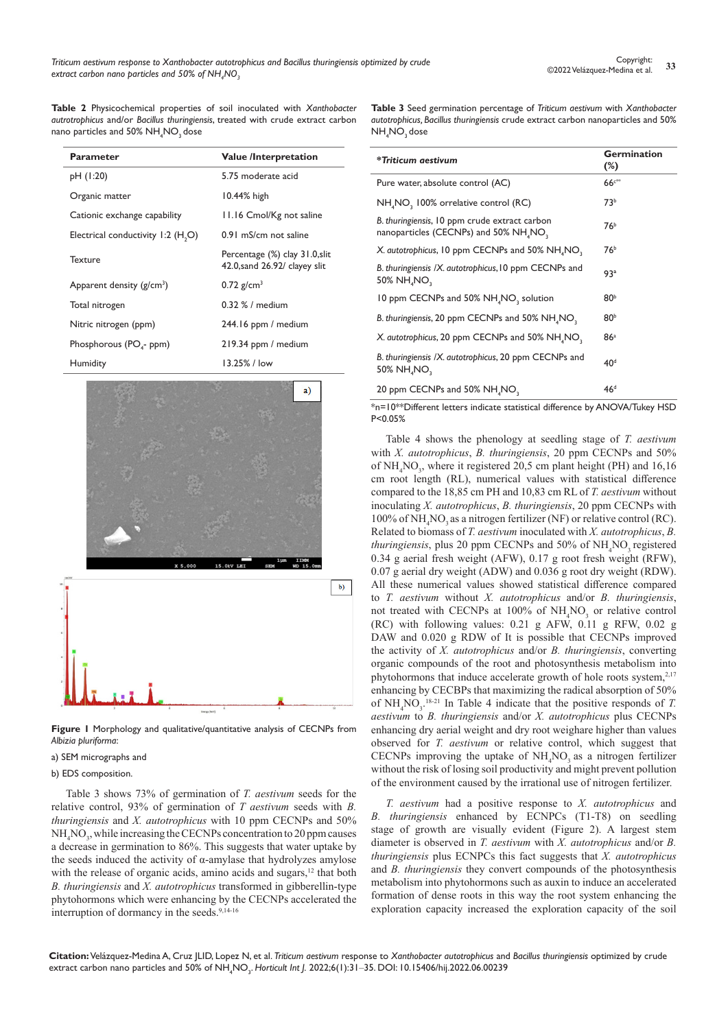**Table 2** Physicochemical properties of soil inoculated with *Xanthobacter autrotrophicus* and/or *Bacillus thuringiensis*, treated with crude extract carbon nano particles and  $50\%$  NH<sub>4</sub>NO<sub>3</sub> dose

| <b>Parameter</b>                               | <b>Value /Interpretation</b>                                    |  |  |  |
|------------------------------------------------|-----------------------------------------------------------------|--|--|--|
| pH (1:20)                                      | 5.75 moderate acid                                              |  |  |  |
| Organic matter                                 | $10.44%$ high                                                   |  |  |  |
| Cationic exchange capability                   | 11.16 Cmol/Kg not saline                                        |  |  |  |
| Electrical conductivity 1:2 (H <sub>2</sub> O) | 0.91 mS/cm not saline                                           |  |  |  |
| Texture                                        | Percentage (%) clay 31.0, slit<br>42.0, sand 26.92/ clayey slit |  |  |  |
| Apparent density $(g/cm^3)$                    | $0.72$ g/cm <sup>3</sup>                                        |  |  |  |
| Total nitrogen                                 | $0.32\%$ / medium                                               |  |  |  |
| Nitric nitrogen (ppm)                          | 244.16 ppm / medium                                             |  |  |  |
| Phosphorous ( $POa$ - ppm)                     | 219.34 ppm / medium                                             |  |  |  |
| Humidity                                       | 13.25% / low                                                    |  |  |  |



**Figure 1** Morphology and qualitative/quantitative analysis of CECNPs from *Albizia pluriforma*:

#### a) SEM micrographs and

#### b) EDS composition.

Table 3 shows 73% of germination of *T. aestivum* seeds for the relative control, 93% of germination of *T aestivum* seeds with *B. thuringiensis* and *X. autotrophicus* with 10 ppm CECNPs and 50% NH<sub>4</sub>NO<sub>3</sub>, while increasing the CECNPs concentration to 20 ppm causes a decrease in germination to 86%. This suggests that water uptake by the seeds induced the activity of  $\alpha$ -amylase that hydrolyzes amylose with the release of organic acids, amino acids and sugars,<sup>12</sup> that both *B. thuringiensis* and *X. autotrophicus* transformed in gibberellin-type phytohormons which were enhancing by the CECNPs accelerated the interruption of dormancy in the seeds.<sup>9,14-16</sup>

**Table 3** Seed germination percentage of *Triticum aestivum* with *Xanthobacter autotrophicus, Bacillus thuringiensis* crude extract carbon nanoparticles and 50%  $NH_{4}$ NO<sub>3</sub> dose

| *Triticum aestivum                                                                                              | <b>Germination</b><br>$(\%)$ |
|-----------------------------------------------------------------------------------------------------------------|------------------------------|
| Pure water, absolute control (AC)                                                                               | $66c***$                     |
| NH <sub>4</sub> NO, 100% orrelative control (RC)                                                                | 73 <sup>b</sup>              |
| B. thuringiensis, 10 ppm crude extract carbon<br>nanoparticles (CECNPs) and 50% NH <sub>4</sub> NO <sub>3</sub> | 76 <sup>b</sup>              |
| X. autotrophicus, 10 ppm CECNPs and 50% NH <sub>4</sub> NO <sub>2</sub>                                         | 76 <sup>b</sup>              |
| B. thuringiensis /X. autotrophicus, 10 ppm CECNPs and<br>50% NH <sub>4</sub> NO <sub>3</sub>                    | 93 <sup>a</sup>              |
| 10 ppm CECNPs and 50% NH <sub>4</sub> NO <sub>3</sub> solution                                                  | 80 <sup>b</sup>              |
| B. thuringiensis, 20 ppm CECNPs and 50% NH, NO,                                                                 | 80 <sup>b</sup>              |
| X. autotrophicus, 20 ppm CECNPs and 50% NH <sub>4</sub> NO <sub>2</sub>                                         | 86a                          |
| B. thuringiensis /X. autotrophicus, 20 ppm CECNPs and<br>50% NH NO,                                             | 40 <sup>d</sup>              |
| 20 ppm CECNPs and 50% NH <sub>4</sub> NO <sub>2</sub>                                                           | 46 <sup>d</sup>              |

\*n=10\*\*Different letters indicate statistical difference by ANOVA/Tukey HSD P<0.05%

Table 4 shows the phenology at seedling stage of *T. aestivum* with *X. autotrophicus*, *B. thuringiensis*, 20 ppm CECNPs and 50% of  $NH<sub>4</sub>NO<sub>3</sub>$ , where it registered 20,5 cm plant height (PH) and 16,16 cm root length (RL), numerical values with statistical difference compared to the 18,85 cm PH and 10,83 cm RL of *T. aestivum* without inoculating *X. autotrophicus*, *B. thuringiensis*, 20 ppm CECNPs with 100% of  $NH<sub>4</sub>NO<sub>3</sub>$  as a nitrogen fertilizer (NF) or relative control (RC). Related to biomass of *T. aestivum* inoculated with *X. autotrophicus*, *B.*  thuringiensis, plus 20 ppm CECNPs and 50% of NH<sub>4</sub>NO<sub>3</sub> registered 0.34 g aerial fresh weight (AFW), 0.17 g root fresh weight (RFW), 0.07 g aerial dry weight (ADW) and 0.036 g root dry weight (RDW). All these numerical values showed statistical difference compared to *T. aestivum* without *X. autotrophicus* and/or *B. thuringiensis*, not treated with CECNPs at 100% of  $NH<sub>4</sub>NO<sub>3</sub>$  or relative control (RC) with following values: 0.21 g AFW, 0.11 g RFW, 0.02 g DAW and 0.020 g RDW of It is possible that CECNPs improved the activity of *X. autotrophicus* and/or *B. thuringiensis*, converting organic compounds of the root and photosynthesis metabolism into phytohormons that induce accelerate growth of hole roots system, $2,17$ enhancing by CECBPs that maximizing the radical absorption of 50% of  $NH<sub>4</sub>NO<sub>3</sub>$ <sup>-18-21</sup> In Table 4 indicate that the positive responds of *T*. *aestivum* to *B. thuringiensis* and/or *X. autotrophicus* plus CECNPs enhancing dry aerial weight and dry root weighare higher than values observed for *T. aestivum* or relative control, which suggest that CECNPs improving the uptake of  $NH<sub>4</sub>NO<sub>3</sub>$  as a nitrogen fertilizer without the risk of losing soil productivity and might prevent pollution of the environment caused by the irrational use of nitrogen fertilizer.

*T. aestivum* had a positive response to *X. autotrophicus* and *B. thuringiensis* enhanced by ECNPCs (T1-T8) on seedling stage of growth are visually evident (Figure 2). A largest stem diameter is observed in *T. aestivum* with *X. autotrophicus* and/or *B. thuringiensis* plus ECNPCs this fact suggests that *X. autotrophicus* and *B. thuringiensis* they convert compounds of the photosynthesis metabolism into phytohormons such as auxin to induce an accelerated formation of dense roots in this way the root system enhancing the exploration capacity increased the exploration capacity of the soil

**Citation:** Velázquez-Medina A, Cruz JLID, Lopez N, et al. *Triticum aestivum* response to *Xanthobacter autotrophicus* and *Bacillus thuringiensis* optimized by crude extract carbon nano particles and 50% of NH<sub>4</sub>NO<sub>3</sub>. *Horticult Int J. 2022;6(1):31–35. DOI: [10.15406/hij.2022.06.00239](https://doi.org/10.15406/hij.2022.06.00239)*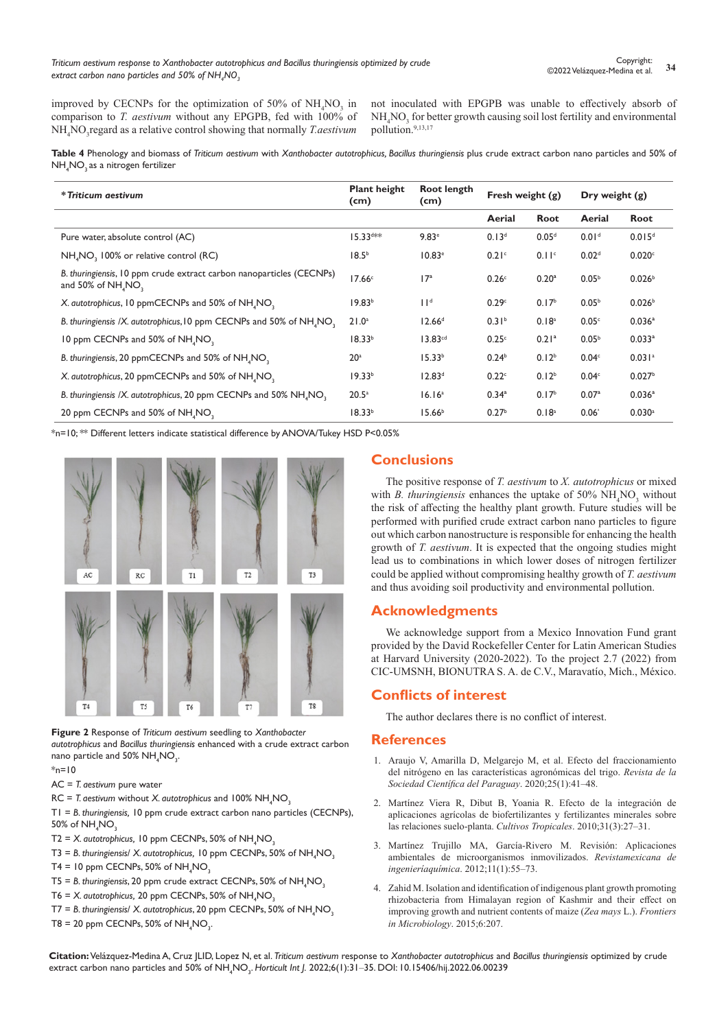improved by CECNPs for the optimization of 50% of  $NH<sub>4</sub>NO<sub>3</sub>$  in comparison to *T. aestivum* without any EPGPB, fed with 100% of NH4 NO3 regard as a relative control showing that normally *T.aestivum*

not inoculated with EPGPB was unable to effectively absorb of  $NH_{4}NO_{3}$  for better growth causing soil lost fertility and environmental pollution.9,13,17

Table 4 Phenology and biomass of Triticum aestivum with Xanthobacter autotrophicus, Bacillus thuringiensis plus crude extract carbon nano particles and 50% of  $\mathsf{NH}_4\mathsf{NO}_3$  as a nitrogen fertilizer

| * Triticum aestivum                                                                          | <b>Plant height</b><br>(cm) | Root length<br>(cm) | Fresh weight $(g)$ |                   | Dry weight $(g)$  |                      |
|----------------------------------------------------------------------------------------------|-----------------------------|---------------------|--------------------|-------------------|-------------------|----------------------|
|                                                                                              |                             |                     | Aerial             | Root              | Aerial            | Root                 |
| Pure water, absolute control (AC)                                                            | $15.33$ <sup>d**</sup>      | $9.83$ <sup>e</sup> | 0.13 <sup>d</sup>  | 0.05 <sup>d</sup> | 0.01 <sup>d</sup> | 0.015 <sup>d</sup>   |
| NH <sub>4</sub> NO <sub>2</sub> 100% or relative control (RC)                                | 18.5 <sup>b</sup>           | 10.83 <sup>e</sup>  | 0.21 <sup>c</sup>  | 0.11 <sup>c</sup> | 0.02 <sup>d</sup> | 0.020c               |
| B. thuringiensis, 10 ppm crude extract carbon nanoparticles (CECNPs)<br>and 50% of NH, NO,   | 17.66 <sup>c</sup>          | 17 <sup>a</sup>     | 0.26 <sup>c</sup>  | 0.20 <sup>a</sup> | 0.05 <sup>b</sup> | 0.026 <sup>b</sup>   |
| X. autotrophicus, 10 ppmCECNPs and 50% of NH <sub>4</sub> NO <sub>2</sub>                    | 19.83 <sup>b</sup>          | 11 <sup>d</sup>     | 0.29c              | 0.17 <sup>b</sup> | 0.05 <sup>b</sup> | 0.026 <sup>b</sup>   |
| B. thuringiensis /X. autotrophicus, 10 ppm CECNPs and 50% of NH <sub>4</sub> NO <sub>2</sub> | $21.0^a$                    | 12.66 <sup>d</sup>  | 0.31 <sup>b</sup>  | 0.18 <sup>a</sup> | 0.05 <sup>c</sup> | 0.036 <sup>a</sup>   |
| 10 ppm CECNPs and 50% of NH, NO,                                                             | 18.33 <sup>b</sup>          | 13.83 <sup>cd</sup> | 0.25c              | 0.21 <sup>a</sup> | 0.05 <sup>b</sup> | $0.033$ <sup>a</sup> |
| B. thuringiensis, 20 ppmCECNPs and 50% of NH <sub>4</sub> NO <sub>2</sub>                    | 20 <sup>a</sup>             | 15.33 <sup>b</sup>  | 0.24 <sup>b</sup>  | 0.12 <sup>b</sup> | 0.04 <sup>c</sup> | 0.031a               |
| X. autotrophicus, 20 ppmCECNPs and 50% of NH <sub>4</sub> NO <sub>3</sub>                    | 19.33 <sup>b</sup>          | 12.83 <sup>d</sup>  | 0.22c              | 0.12 <sup>b</sup> | 0.04 <sup>c</sup> | 0.027 <sup>b</sup>   |
| B. thuringiensis /X. autotrophicus, 20 ppm CECNPs and 50% NH <sub>4</sub> NO <sub>2</sub>    | $20.5^a$                    | 16.16 <sup>a</sup>  | $0.34^{a}$         | 0.17 <sup>b</sup> | 0.07 <sup>a</sup> | 0.036 <sup>a</sup>   |
| 20 ppm CECNPs and 50% of NH, NO,                                                             | 18.33 <sup>b</sup>          | 15.66 <sup>b</sup>  | 0.27 <sup>b</sup>  | 0.18 <sup>a</sup> | 0.06 <sup>°</sup> | $0.030$ <sup>a</sup> |

\*n=10; \*\* Different letters indicate statistical difference by ANOVA/Tukey HSD P<0.05%



**Figure 2** Response of *Triticum aestivum* seedling to *Xanthobacter autotrophicus* and *Bacillus thuringiensis* enhanced with a crude extract carbon nano particle and  $50\%$  NH<sub>4</sub>NO<sub>3</sub>.

 $*_{n=10}$ 

- AC = *T. aestivum* pure water
- RC = *T. aestivum* without *X. autotrophicus* and 100%  $NH_4NO_3$

T1 = *B. thuringiensis,* 10 ppm crude extract carbon nano particles (CECNPs), 50% of  $NH<sub>4</sub>NO<sub>3</sub>$ 

- T2 = *X.* autotrophicus, 10 ppm CECNPs, 50% of NH<sub>4</sub>NO<sub>3</sub>
- T3 = *B. thuringiensis/ X. autotrophicus,* 10 ppm CECNPs, 50% of NH<sub>4</sub>NO<sub>3</sub>
- $T4 = 10$  ppm CECNPs, 50% of NH<sub>4</sub>NO<sub>3</sub>
- T5 = B. thuringiensis, 20 ppm crude extract CECNPs, 50% of NH<sub>4</sub>NO<sub>3</sub>
- T6 = *X.* autotrophicus, 20 ppm CECNPs, 50% of NH<sub>4</sub>NO<sub>3</sub>
- T7 = B. thuringiensis/ *X. autotrophicus*, 20 ppm CECNPs, 50% of NH<sub>4</sub>NO<sub>3</sub>
- $T8 = 20$  ppm CECNPs, 50% of NH<sub>4</sub>NO<sub>3</sub>.

# **Conclusions**

The positive response of *T. aestivum* to *X. autotrophicus* or mixed with *B. thuringiensis* enhances the uptake of  $50\% \text{ NH}_4\text{NO}_3$  without the risk of affecting the healthy plant growth. Future studies will be performed with purified crude extract carbon nano particles to figure out which carbon nanostructure is responsible for enhancing the health growth of *T. aestivum*. It is expected that the ongoing studies might lead us to combinations in which lower doses of nitrogen fertilizer could be applied without compromising healthy growth of *T. aestivum*  and thus avoiding soil productivity and environmental pollution.

# **Acknowledgments**

We acknowledge support from a Mexico Innovation Fund grant provided by the David Rockefeller Center for Latin American Studies at Harvard University (2020-2022). To the project 2.7 (2022) from CIC-UMSNH, BIONUTRA S. A. de C.V., Maravatío, Mich., México.

# **Conflicts of interest**

The author declares there is no conflict of interest.

### **References**

- 1. [Araujo V, Amarilla D, Melgarejo M, et al. Efecto del fraccionamiento](http://sociedadcientifica.org.py/ojs/index.php/rscpy/article/view/91)  [del nitrógeno en las características agronómicas del trigo.](http://sociedadcientifica.org.py/ojs/index.php/rscpy/article/view/91) *Revista de la [Sociedad Científica del Paraguay](http://sociedadcientifica.org.py/ojs/index.php/rscpy/article/view/91)*. 2020;25(1):41–48.
- 2. [Martínez Viera R, Dibut B, Yoania R. Efecto de la integración de](http://scielo.sld.cu/scielo.php?script=sci_arttext&pid=S0258-59362010000300009)  [aplicaciones agrícolas de biofertilizantes y fertilizantes minerales sobre](http://scielo.sld.cu/scielo.php?script=sci_arttext&pid=S0258-59362010000300009)  [las relaciones suelo-planta.](http://scielo.sld.cu/scielo.php?script=sci_arttext&pid=S0258-59362010000300009) *Cultivos Tropicales*. 2010;31(3):27–31.
- 3. [Martínez Trujillo MA, García-Rivero M. Revisión: Aplicaciones](https://www.virtualpro.co/biblioteca/revision-aplicaciones-ambientales-de-microorganismos-inmovilizados)  [ambientales de microorganismos inmovilizados.](https://www.virtualpro.co/biblioteca/revision-aplicaciones-ambientales-de-microorganismos-inmovilizados) *Revistamexicana de ingenieríaquímica*[. 2012;11\(1\):55–73.](https://www.virtualpro.co/biblioteca/revision-aplicaciones-ambientales-de-microorganismos-inmovilizados)
- 4. [Zahid M. Isolation and identification of indigenous plant growth promoting](https://pubmed.ncbi.nlm.nih.gov/25852667/)  [rhizobacteria from Himalayan region of Kashmir and their effect on](https://pubmed.ncbi.nlm.nih.gov/25852667/)  [improving growth and nutrient contents of maize \(](https://pubmed.ncbi.nlm.nih.gov/25852667/)*Zea mays* L.). *Frontiers [in Microbiology](https://pubmed.ncbi.nlm.nih.gov/25852667/)*. 2015;6:207.

**Citation:** Velázquez-Medina A, Cruz JLID, Lopez N, et al. *Triticum aestivum* response to *Xanthobacter autotrophicus* and *Bacillus thuringiensis* optimized by crude extract carbon nano particles and 50% of NH<sub>4</sub>NO<sub>3</sub>. *Horticult Int J. 2022;6(1):31–35. DOI: [10.15406/hij.2022.06.00239](https://doi.org/10.15406/hij.2022.06.00239)*